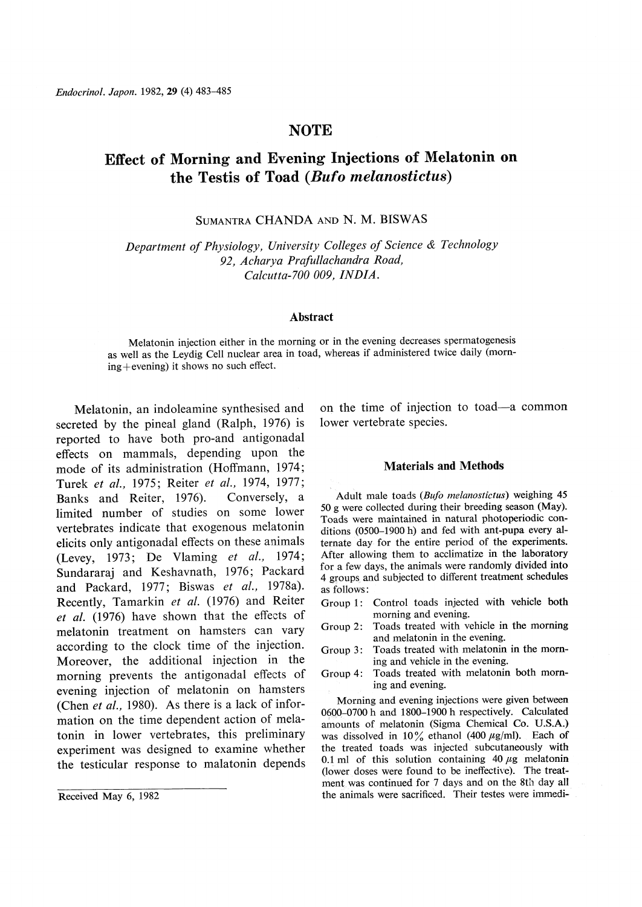# **NOTE**

# Effect of Morning and Evening Injections of Melatonin on the Testis of Toad (Bufo melanostictus)

SUMANTRA CHANDA AND N. M. BISWAS

Department of Physiology, University Colleges of Science & Technology 92, Acharya Prafullachandra Road, Calcutta-700 009, INDIA.

#### Abstract

Melatonin injection either in the morning or in the evening decreases spermatogenesis as well as the Leydig Cell nuclear area in toad, whereas if administered twice daily (morn $ing+evening$ ) it shows no such effect.

Melatonin, an indoleamine synthesised and secreted by the pineal gland (Ralph, 1976) is reported to have both pro-and antigonadal effects on mammals, depending upon the mode of its administration (Hoffmann, 1974; Turek et al., 1975; Reiter et al., 1974, 1977; Banks and Reiter, 1976). Conversely, a limited number of studies on some lower vertebrates indicate that exogenous melatonin elicits only antigonadal effects on these animals (Levey, 1973; De Vlaming et al., 1974; Sundararaj and Keshavnath, 1976; Packard and Packard, 1977; Biswas et al., 1978a). Recently, Tamarkin et al. (1976) and Reiter et al. (1976) have shown that the effects of melatonin treatment on hamsters can vary according to the clock time of the injection. Moreover, the additional injection in the morning prevents the antigonadal effects of evening injection of melatonin on hamsters (Chen et al., 1980). As there is a lack of information on the time dependent action of melatonin in lower vertebrates, this preliminary experiment was designed to examine whether the testicular response to malatonin depends

on the time of injection to toad-a common lower vertebrate species.

# Materials and Methods

Adult male toads (Bufo melanostictus) weighing 45 50g were collected during their breeding season (May). Toads were maintained in natural photoperiodic conditions (0500-1900 h) and fed with ant-pupa every alternate day for the entire period of the experiments. After allowing them to acclimatize in the laboratory for a few days, the animals were randomly divided into 4 groups and subjected to different treatment schedules as follows:

- Group 1: Control toads injected with vehicle both morning and evening.
- Group 2: Toads treated with vehicle in the morning and melatonin in the evening.
- Group 3: Toads treated with melatonin in the morning and vehicle in the evening.
- Group 4: Toads treated with melatonin both morning and evening.

Morning and evening injections were given between 0600-0700 h and 1800-1900 h respectively. Calculated amounts of melatonin (Sigma Chemical Co. U.S.A.) was dissolved in 10% ethanol (400  $\mu$ g/ml). Each of the treated toads was injected subcutaneously with 0.1 ml of this solution containing 40  $\mu$ g melatonin (lower doses were found to be ineffective). The treatment was continued for 7 days and on the 8th day all Received May 6, 1982 **the animals were sacrificed**. Their testes were immedi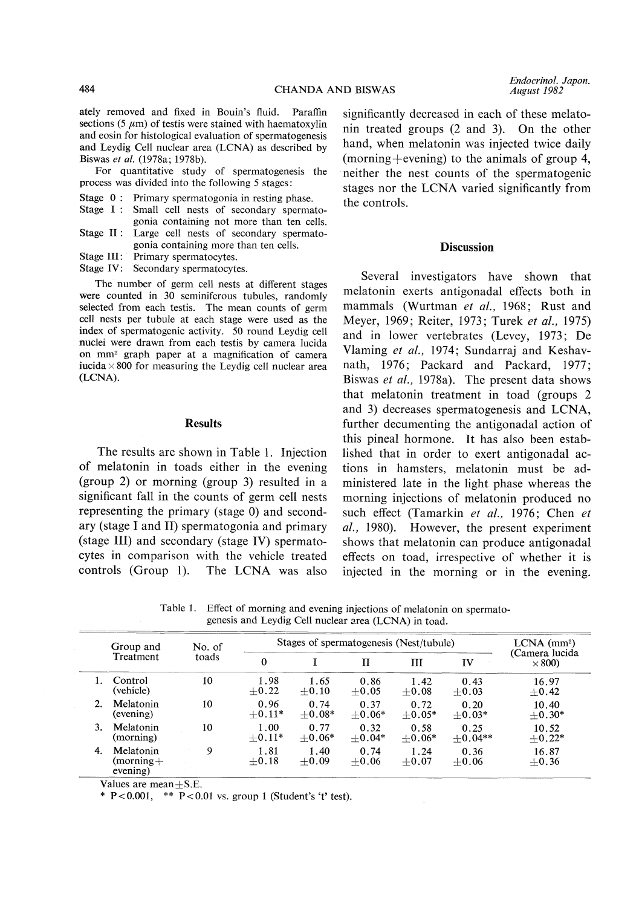ately removed and fixed in Bouin's fluid. Paraffin sections (5  $\mu$ m) of testis were stained with haematoxylin and eosin for histological evaluation of spermatogenesis and Leydig Cell nuclear area (LCNA) as described by Biswas et al. (1978a; 1978b).

For quantitative study of spermatogenesis the process was divided into the following 5 stages:

- Stage 0: Primary spermatogonia in resting phase.
- Stage I: Small cell nests of secondary spermatogonia containing not more than ten cells.
- Stage II: Large cell nests of secondary spermatogonia containing more than ten cells.
- Stage III: Primary spermatocytes.

Stage IV: Secondary spermatocytes.

The number of germ cell nests at different stages were counted in 30 seminiferous tubules, randomly selected from each testis. The mean counts of germ cell nests per tubule at each stage were used as the index of spermatogenic activity. 50 round Leydig cell nuclei were drawn from each testis by camera lucida on mm2 graph paper at a magnification of camera iucida  $\times 800$  for measuring the Leydig cell nuclear area (LCNA).

#### Results

The results are shown in Table 1. Injection of melatonin in toads either in the evening (group 2) or morning (group 3) resulted in a significant fall in the counts of germ cell nests representing the primary (stage 0) and secondary (stage I and II) spermatogonia and primary (stage III) and secondary (stage IV) spermatocytes in comparison with the vehicle treated controls (Group 1). The LCNA was also

Endocrinol. Japon. August 1982

significantly decreased in each of these melatonin treated groups (2 and 3). On the other hand, when melatonin was injected twice daily (morning + evening) to the animals of group 4, neither the nest counts of the spermatogenic stages nor the LCNA varied significantly from the controls.

### **Discussion**

Several investigators have shown that melatonin exerts antigonadal effects both in mammals (Wurtman et al., 1968; Rust and Meyer, 1969; Reiter, 1973; Turek et al., 1975) and in lower vertebrates (Levey, 1973; De Vlaming et al., 1974; Sundarraj and Keshavnath, 1976; Packard and Packard, 1977; Biswas et al., 1978a). The present data shows that melatonin treatment in toad (groups 2 and 3) decreases spermatogenesis and LCNA, further decumenting the antigonadal action of this pineal hormone. It has also been established that in order to exert antigonadal actions in hamsters, melatonin must be administered late in the light phase whereas the morning injections of melatonin produced no such effect (Tamarkin et al., 1976; Chen et al., 1980). However, the present experiment shows that melatonin can produce antigonadal effects on toad, irrespective of whether it is injected in the morning or in the evening.

Table 1. Effect of morning and evening injections of melatonin on spermatogenesis and Leydig Cell nuclear area (LCNA) in toad.

|    | Group and<br>Treatment             | No. of<br>toads | Stages of spermatogenesis (Nest/tubule) |                  |                  |                  |                   | $LCNA$ (mm <sup>2</sup> )       |
|----|------------------------------------|-----------------|-----------------------------------------|------------------|------------------|------------------|-------------------|---------------------------------|
|    |                                    |                 | $\mathbf{0}$                            |                  | Н                | Ш                | IV                | (Camera lucida<br>$\times$ 800) |
|    | Control<br>(vehicle)               | 10              | 1.98<br>$+0.22$                         | 1.65<br>$+0.10$  | 0.86<br>$+0.05$  | 1.42<br>$+0.08$  | 0.43<br>$+0.03$   | 16.97<br>$+0.42$                |
| 2. | Melatonin<br>(evening)             | 10              | 0.96<br>$+0.11*$                        | 0.74<br>$+0.08*$ | 0.37<br>$+0.06*$ | 0.72<br>$+0.05*$ | 0.20<br>$+0.03*$  | 10.40<br>$+0.30*$               |
| 3. | Melatonin<br>(morning)             | 10              | 1.00<br>$+0.11*$                        | 0.77<br>$+0.06*$ | 0.32<br>$+0.04*$ | 0.58<br>$+0.06*$ | 0.25<br>$+0.04**$ | 10.52<br>$+0.22*$               |
| 4. | Melatonin<br>(morning+<br>evening) | 9               | 1.81<br>$+0.18$                         | 1.40<br>$+0.09$  | 0.74<br>$+0.06$  | 1.24<br>$+0.07$  | 0.36<br>$+0.06$   | 16.87<br>$+0.36$                |

Values are mean $\pm$ S.E.

\* P<0.001, \*\* P<0.01 vs. group 1 (Student's 't' test).